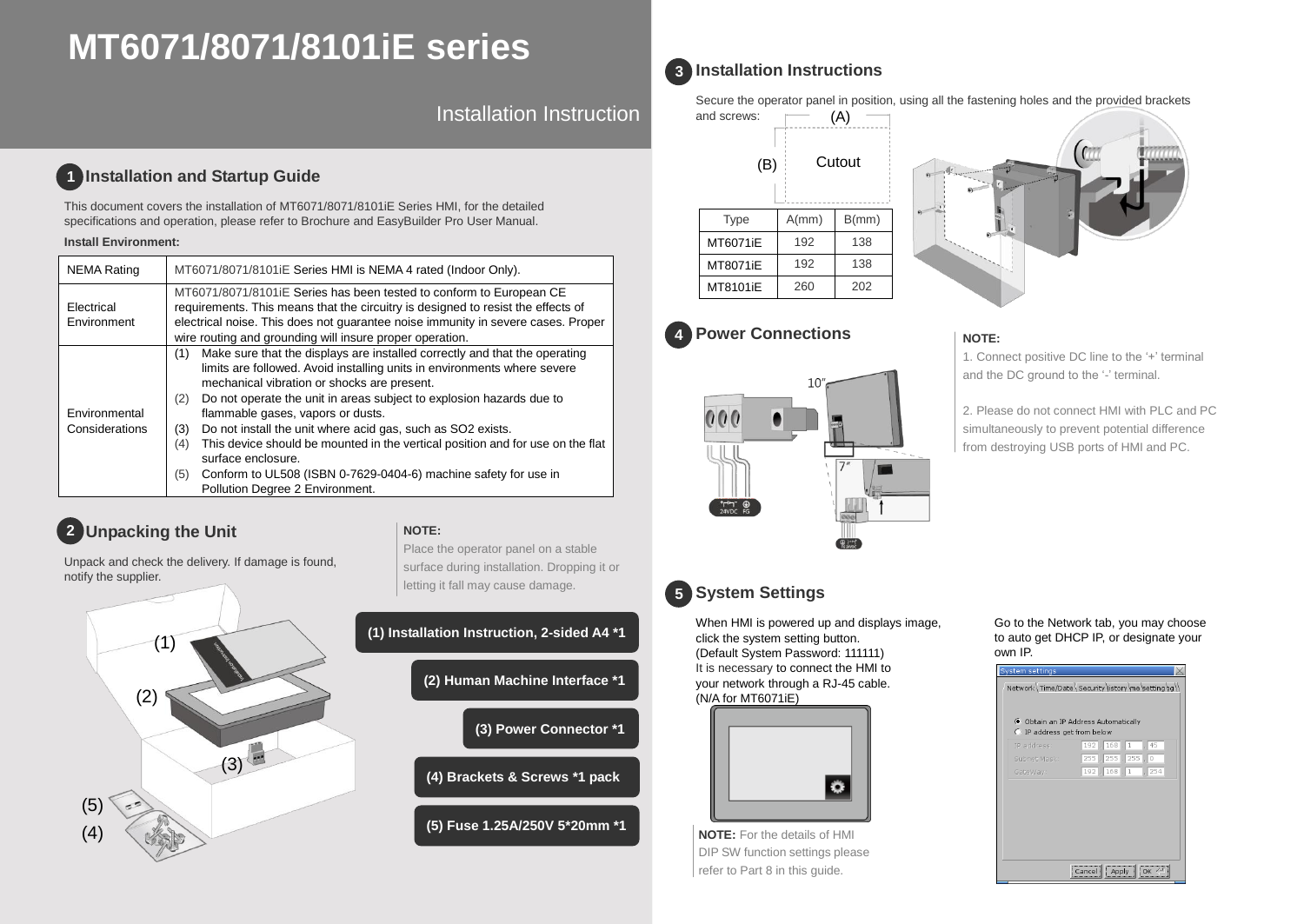# **MT6071/8071/8101iE series**

Installation Instruction

### **Installation and Startup Guide 1**

This document covers the installation of MT6071/8071/8101iE Series HMI, for the detailed specifications and operation, please refer to Brochure and EasyBuilder Pro User Manual.

### **Install Environment:**

| <b>NEMA Rating</b>              | MT6071/8071/8101 E Series HMI is NEMA 4 rated (Indoor Only).                                                                                                                                                                                                                                                                                                                                                                                                                                                                                                                                                                       |  |  |  |
|---------------------------------|------------------------------------------------------------------------------------------------------------------------------------------------------------------------------------------------------------------------------------------------------------------------------------------------------------------------------------------------------------------------------------------------------------------------------------------------------------------------------------------------------------------------------------------------------------------------------------------------------------------------------------|--|--|--|
| Electrical<br>Environment       | MT6071/8071/8101iE Series has been tested to conform to European CE<br>requirements. This means that the circuitry is designed to resist the effects of<br>electrical noise. This does not guarantee noise immunity in severe cases. Proper<br>wire routing and grounding will insure proper operation.                                                                                                                                                                                                                                                                                                                            |  |  |  |
| Environmental<br>Considerations | Make sure that the displays are installed correctly and that the operating<br>(1)<br>limits are followed. Avoid installing units in environments where severe<br>mechanical vibration or shocks are present.<br>Do not operate the unit in areas subject to explosion hazards due to<br>(2)<br>flammable gases, vapors or dusts.<br>Do not install the unit where acid gas, such as SO2 exists.<br>(3)<br>This device should be mounted in the vertical position and for use on the flat<br>(4)<br>surface enclosure.<br>Conform to UL508 (ISBN 0-7629-0404-6) machine safety for use in<br>(5)<br>Pollution Degree 2 Environment. |  |  |  |

# **2** Unpacking the Unit **All and Struck Struck Struck** NOTE:

Place the operator panel on a stable

Unpack and check the delivery. If damage is found, notify the supplier.



# letting it fall may cause damage. **(1) Installation Instruction, 2-sided A4 \*1 (2) Human Machine Interface \*1 (3) Power Connector \*1 (4) Brackets & Screws \*1 pack (5) Fuse 1.25A/250V 5\*20mm \*1**

surface during installation. Dropping it or

# **Installation Instructions 3**

Secure the operator panel in position, using all the fastening holes and the provided brackets

| and screws: |        |       |  |
|-------------|--------|-------|--|
| (B)         | Cutout |       |  |
| <b>Type</b> | A/mm)  | B/mm) |  |
| MT6071iE    | 192    | 138   |  |
| MT8071iE    | 192    | 138   |  |
| MT8101iE    | 260    | 202   |  |

### **Power Connections 4**



### **NOTE:**

1. Connect positive DC line to the '+' terminal and the DC ground to the '-' terminal.

2. Please do not connect HMI with PLC and PC simultaneously to prevent potential difference from destroying USB ports of HMI and PC.

# **System Settings 5**

When HMI is powered up and displays image, click the system setting button. (Default System Password: 111111) It is necessary to connect the HMI to your network through a RJ-45 cable. (N/A for MT6071iE)



**NOTE:** For the details of HMI DIP SW function settings please refer to Part 8 in this guide.

### Go to the Network tab, you may choose to auto get DHCP IP, or designate your own IP.